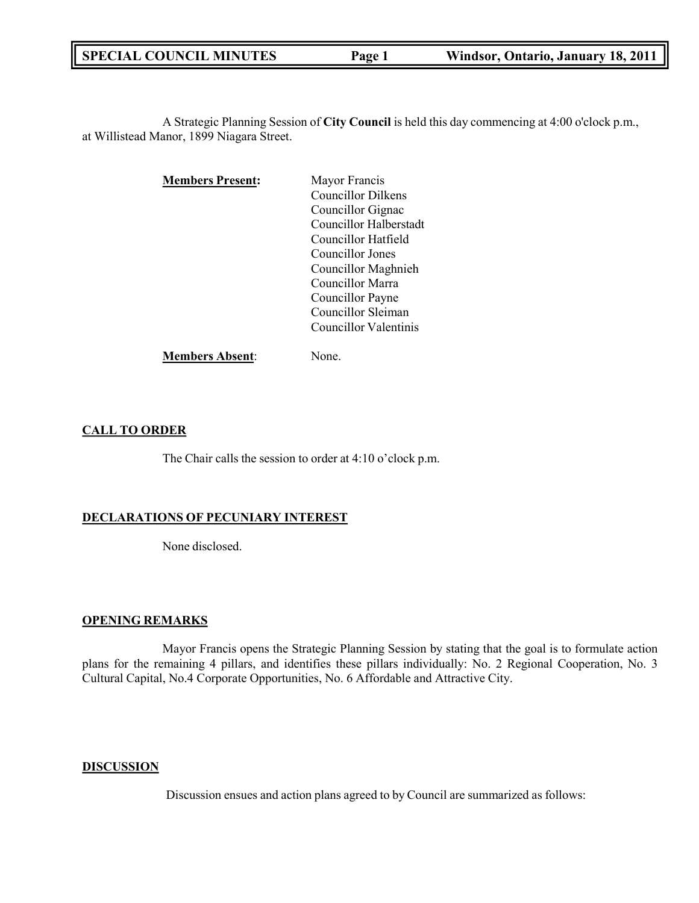A Strategic Planning Session of **City Council** is held this day commencing at 4:00 o'clock p.m., at Willistead Manor, 1899 Niagara Street.

| <b>Members Present:</b> | Mayor Francis             |
|-------------------------|---------------------------|
|                         | <b>Councillor Dilkens</b> |
|                         | Councillor Gignac         |
|                         | Councillor Halberstadt    |
|                         | Councillor Hatfield       |
|                         | Councillor Jones          |
|                         | Councillor Maghnieh       |
|                         | Councillor Marra          |
|                         | Councillor Payne          |
|                         | Councillor Sleiman        |
|                         | Councillor Valentinis     |
|                         |                           |

**Members Absent**: None.

## **CALL TO ORDER**

The Chair calls the session to order at 4:10 o'clock p.m.

# **DECLARATIONS OF PECUNIARY INTEREST**

None disclosed.

### **OPENING REMARKS**

Mayor Francis opens the Strategic Planning Session by stating that the goal is to formulate action plans for the remaining 4 pillars, and identifies these pillars individually: No. 2 Regional Cooperation, No. 3 Cultural Capital, No.4 Corporate Opportunities, No. 6 Affordable and Attractive City.

### **DISCUSSION**

Discussion ensues and action plans agreed to by Council are summarized as follows: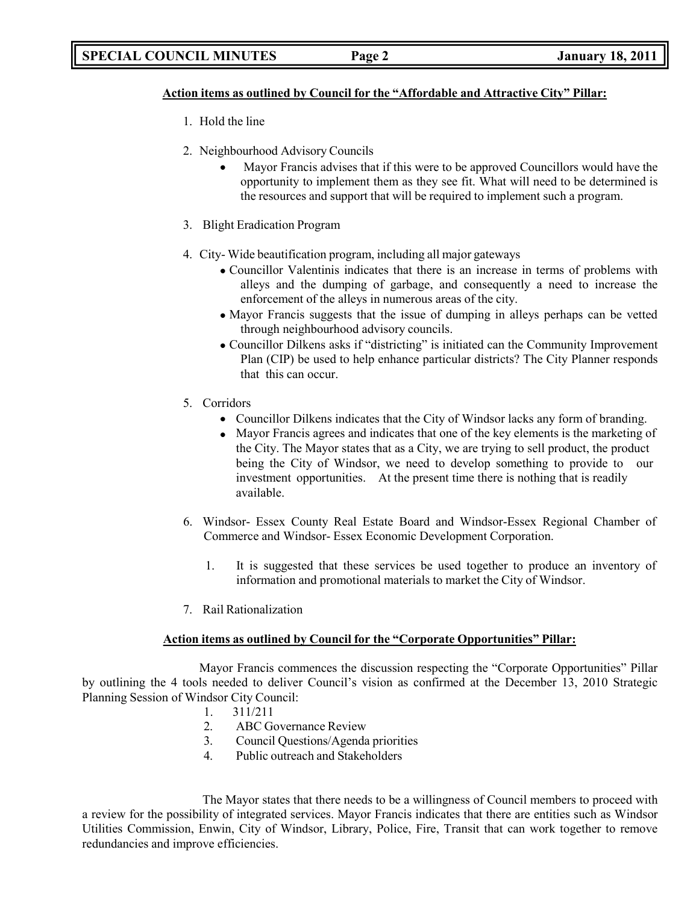### **Action items as outlined by Council for the "Affordable and Attractive City" Pillar:**

- 1. Hold the line
- 2. Neighbourhood Advisory Councils
	- Mayor Francis advises that if this were to be approved Councillors would have the opportunity to implement them as they see fit. What will need to be determined is the resources and support that will be required to implement such a program.
- 3. Blight Eradication Program
- 4. City- Wide beautification program, including all major gateways
	- Councillor Valentinis indicates that there is an increase in terms of problems with alleys and the dumping of garbage, and consequently a need to increase the enforcement of the alleys in numerous areas of the city.
	- Mayor Francis suggests that the issue of dumping in alleys perhaps can be vetted through neighbourhood advisory councils.
	- Councillor Dilkens asks if "districting" is initiated can the Community Improvement Plan (CIP) be used to help enhance particular districts? The City Planner responds that this can occur.
- 5. Corridors
	- Councillor Dilkens indicates that the City of Windsor lacks any form of branding.
	- Mayor Francis agrees and indicates that one of the key elements is the marketing of the City. The Mayor states that as a City, we are trying to sell product, the product being the City of Windsor, we need to develop something to provide to our investment opportunities. At the present time there is nothing that is readily available.
- 6. Windsor- Essex County Real Estate Board and Windsor-Essex Regional Chamber of Commerce and Windsor- Essex Economic Development Corporation.
	- 1. It is suggested that these services be used together to produce an inventory of information and promotional materials to market the City of Windsor.
- 7. Rail Rationalization

### **Action items as outlined by Council for the "Corporate Opportunities" Pillar:**

Mayor Francis commences the discussion respecting the "Corporate Opportunities" Pillar by outlining the 4 tools needed to deliver Council's vision as confirmed at the December 13, 2010 Strategic Planning Session of Windsor City Council:

- 1. 311/211
- 2. ABC Governance Review
- 3. Council Questions/Agenda priorities
- 4. Public outreach and Stakeholders

The Mayor states that there needs to be a willingness of Council members to proceed with a review for the possibility of integrated services. Mayor Francis indicates that there are entities such as Windsor Utilities Commission, Enwin, City of Windsor, Library, Police, Fire, Transit that can work together to remove redundancies and improve efficiencies.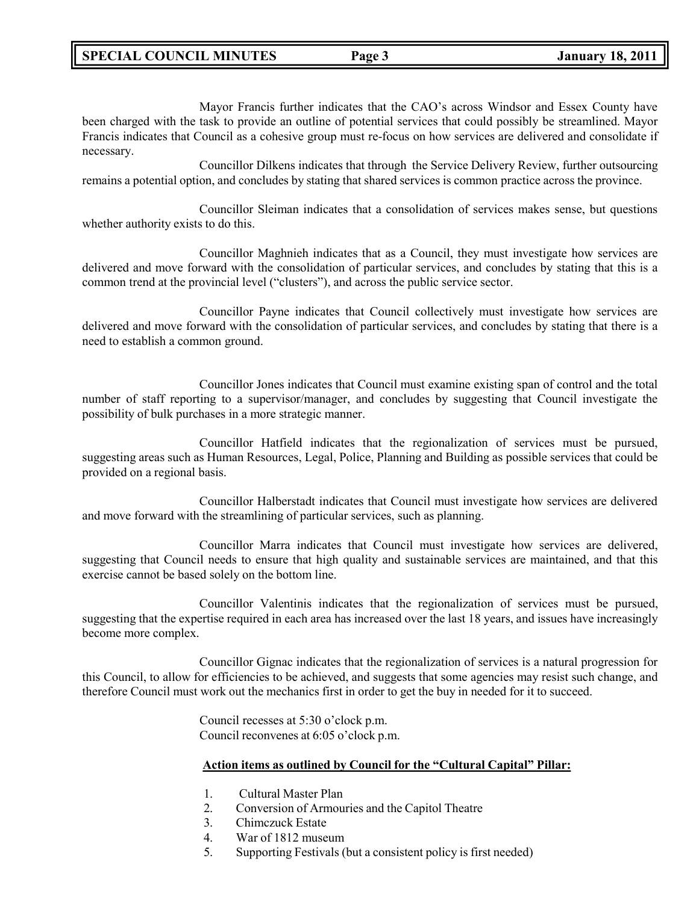Mayor Francis further indicates that the CAO's across Windsor and Essex County have been charged with the task to provide an outline of potential services that could possibly be streamlined. Mayor Francis indicates that Council as a cohesive group must re-focus on how services are delivered and consolidate if necessary.

Councillor Dilkens indicates that through the Service Delivery Review, further outsourcing remains a potential option, and concludes by stating that shared services is common practice across the province.

Councillor Sleiman indicates that a consolidation of services makes sense, but questions whether authority exists to do this.

Councillor Maghnieh indicates that as a Council, they must investigate how services are delivered and move forward with the consolidation of particular services, and concludes by stating that this is a common trend at the provincial level ("clusters"), and across the public service sector.

Councillor Payne indicates that Council collectively must investigate how services are delivered and move forward with the consolidation of particular services, and concludes by stating that there is a need to establish a common ground.

Councillor Jones indicates that Council must examine existing span of control and the total number of staff reporting to a supervisor/manager, and concludes by suggesting that Council investigate the possibility of bulk purchases in a more strategic manner.

Councillor Hatfield indicates that the regionalization of services must be pursued, suggesting areas such as Human Resources, Legal, Police, Planning and Building as possible services that could be provided on a regional basis.

Councillor Halberstadt indicates that Council must investigate how services are delivered and move forward with the streamlining of particular services, such as planning.

Councillor Marra indicates that Council must investigate how services are delivered, suggesting that Council needs to ensure that high quality and sustainable services are maintained, and that this exercise cannot be based solely on the bottom line.

Councillor Valentinis indicates that the regionalization of services must be pursued, suggesting that the expertise required in each area has increased over the last 18 years, and issues have increasingly become more complex.

Councillor Gignac indicates that the regionalization of services is a natural progression for this Council, to allow for efficiencies to be achieved, and suggests that some agencies may resist such change, and therefore Council must work out the mechanics first in order to get the buy in needed for it to succeed.

> Council recesses at 5:30 o'clock p.m. Council reconvenes at 6:05 o'clock p.m.

## **Action items as outlined by Council for the "Cultural Capital" Pillar:**

- 1. Cultural Master Plan
- 2. Conversion of Armouries and the Capitol Theatre
- 3. Chimczuck Estate
- 4. War of 1812 museum
- 5. Supporting Festivals (but a consistent policy is first needed)